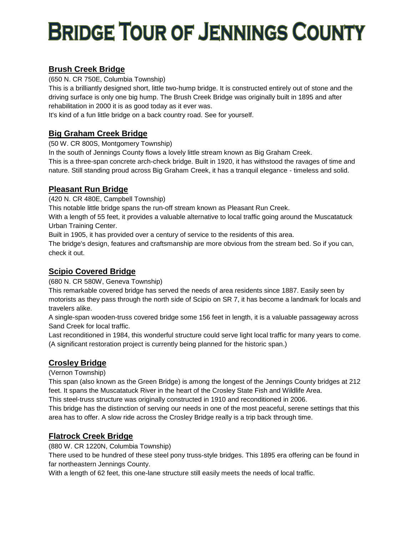# **BRIDGE TOUR OF JENNINGS COUNTY**

# **Brush Creek Bridge**

(650 N. CR 750E, Columbia Township)

This is a brilliantly designed short, little two-hump bridge. It is constructed entirely out of stone and the driving surface is only one big hump. The Brush Creek Bridge was originally built in 1895 and after rehabilitation in 2000 it is as good today as it ever was.

It's kind of a fun little bridge on a back country road. See for yourself.

## **Big Graham Creek Bridge**

(50 W. CR 800S, Montgomery Township)

In the south of Jennings County flows a lovely little stream known as Big Graham Creek.

This is a three-span concrete arch-check bridge. Built in 1920, it has withstood the ravages of time and nature. Still standing proud across Big Graham Creek, it has a tranquil elegance - timeless and solid.

#### **Pleasant Run Bridge**

(420 N. CR 480E, Campbell Township)

This notable little bridge spans the run-off stream known as Pleasant Run Creek.

With a length of 55 feet, it provides a valuable alternative to local traffic going around the Muscatatuck Urban Training Center.

Built in 1905, it has provided over a century of service to the residents of this area.

The bridge's design, features and craftsmanship are more obvious from the stream bed. So if you can, check it out.

# **Scipio Covered Bridge**

(680 N. CR 580W, Geneva Township)

This remarkable covered bridge has served the needs of area residents since 1887. Easily seen by motorists as they pass through the north side of Scipio on SR 7, it has become a landmark for locals and travelers alike.

A single-span wooden-truss covered bridge some 156 feet in length, it is a valuable passageway across Sand Creek for local traffic.

Last reconditioned in 1984, this wonderful structure could serve light local traffic for many years to come. (A significant restoration project is currently being planned for the historic span.)

## **Crosley Bridge**

(Vernon Township)

This span (also known as the Green Bridge) is among the longest of the Jennings County bridges at 212 feet. It spans the Muscatatuck River in the heart of the Crosley State Fish and Wildlife Area.

This steel-truss structure was originally constructed in 1910 and reconditioned in 2006.

This bridge has the distinction of serving our needs in one of the most peaceful, serene settings that this area has to offer. A slow ride across the Crosley Bridge really is a trip back through time.

## **Flatrock Creek Bridge**

(880 W. CR 1220N, Columbia Township)

There used to be hundred of these steel pony truss-style bridges. This 1895 era offering can be found in far northeastern Jennings County.

With a length of 62 feet, this one-lane structure still easily meets the needs of local traffic.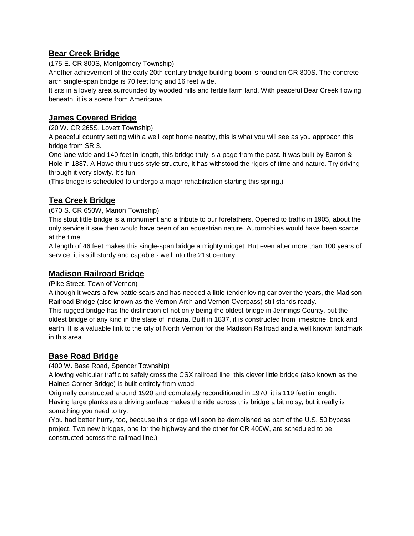#### **Bear Creek Bridge**

(175 E. CR 800S, Montgomery Township)

Another achievement of the early 20th century bridge building boom is found on CR 800S. The concretearch single-span bridge is 70 feet long and 16 feet wide.

It sits in a lovely area surrounded by wooded hills and fertile farm land. With peaceful Bear Creek flowing beneath, it is a scene from Americana.

#### **James Covered Bridge**

(20 W. CR 265S, Lovett Township)

A peaceful country setting with a well kept home nearby, this is what you will see as you approach this bridge from SR 3.

One lane wide and 140 feet in length, this bridge truly is a page from the past. It was built by Barron & Hole in 1887. A Howe thru truss style structure, it has withstood the rigors of time and nature. Try driving through it very slowly. It's fun.

(This bridge is scheduled to undergo a major rehabilitation starting this spring.)

## **Tea Creek Bridge**

(670 S. CR 650W, Marion Township)

This stout little bridge is a monument and a tribute to our forefathers. Opened to traffic in 1905, about the only service it saw then would have been of an equestrian nature. Automobiles would have been scarce at the time.

A length of 46 feet makes this single-span bridge a mighty midget. But even after more than 100 years of service, it is still sturdy and capable - well into the 21st century.

#### **Madison Railroad Bridge**

(Pike Street, Town of Vernon)

Although it wears a few battle scars and has needed a little tender loving car over the years, the Madison Railroad Bridge (also known as the Vernon Arch and Vernon Overpass) still stands ready.

This rugged bridge has the distinction of not only being the oldest bridge in Jennings County, but the oldest bridge of any kind in the state of Indiana. Built in 1837, it is constructed from limestone, brick and earth. It is a valuable link to the city of North Vernon for the Madison Railroad and a well known landmark in this area.

## **Base Road Bridge**

(400 W. Base Road, Spencer Township)

Allowing vehicular traffic to safely cross the CSX railroad line, this clever little bridge (also known as the Haines Corner Bridge) is built entirely from wood.

Originally constructed around 1920 and completely reconditioned in 1970, it is 119 feet in length. Having large planks as a driving surface makes the ride across this bridge a bit noisy, but it really is something you need to try.

(You had better hurry, too, because this bridge will soon be demolished as part of the U.S. 50 bypass project. Two new bridges, one for the highway and the other for CR 400W, are scheduled to be constructed across the railroad line.)